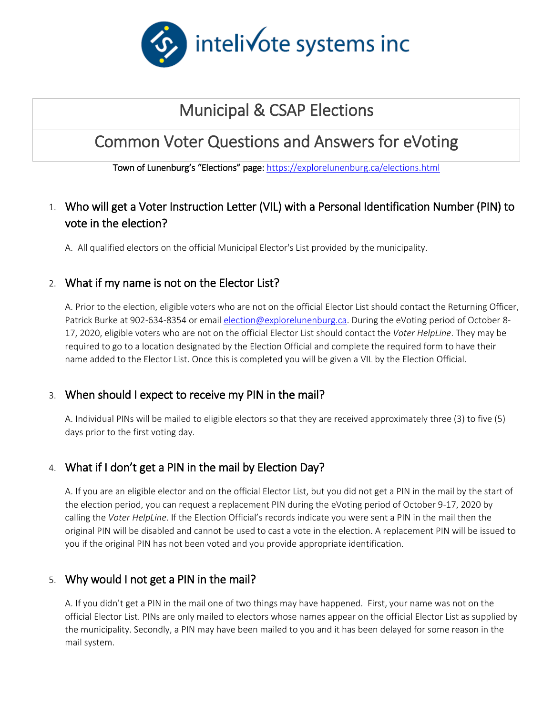

# Municipal & CSAP Elections

# Common Voter Questions and Answers for eVoting

Town of Lunenburg's "Elections" page: <https://explorelunenburg.ca/elections.html>

## 1. Who will get a Voter Instruction Letter (VIL) with a Personal Identification Number (PIN) to vote in the election?

A. All qualified electors on the official Municipal Elector's List provided by the municipality.

## 2. What if my name is not on the Elector List?

A. Prior to the election, eligible voters who are not on the official Elector List should contact the Returning Officer, Patrick Burke at 902-634-8354 or emai[l election@explorelunenburg.ca.](mailto:election@explorelunenburg.ca) During the eVoting period of October 8- 17, 2020, eligible voters who are not on the official Elector List should contact the *Voter HelpLine*. They may be required to go to a location designated by the Election Official and complete the required form to have their name added to the Elector List. Once this is completed you will be given a VIL by the Election Official.

#### 3. When should I expect to receive my PIN in the mail?

A. Individual PINs will be mailed to eligible electors so that they are received approximately three (3) to five (5) days prior to the first voting day.

## 4. What if I don't get a PIN in the mail by Election Day?

A. If you are an eligible elector and on the official Elector List, but you did not get a PIN in the mail by the start of the election period, you can request a replacement PIN during the eVoting period of October 9-17, 2020 by calling the *Voter HelpLine*. If the Election Official's records indicate you were sent a PIN in the mail then the original PIN will be disabled and cannot be used to cast a vote in the election. A replacement PIN will be issued to you if the original PIN has not been voted and you provide appropriate identification.

## 5. Why would I not get a PIN in the mail?

A. If you didn't get a PIN in the mail one of two things may have happened. First, your name was not on the official Elector List. PINs are only mailed to electors whose names appear on the official Elector List as supplied by the municipality. Secondly, a PIN may have been mailed to you and it has been delayed for some reason in the mail system.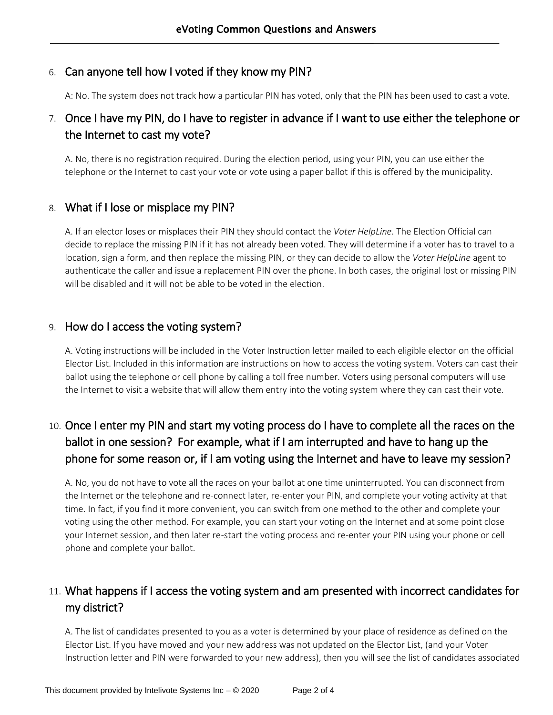## 6. Can anyone tell how I voted if they know my PIN?

A: No. The system does not track how a particular PIN has voted, only that the PIN has been used to cast a vote.

## 7. Once I have my PIN, do I have to register in advance if I want to use either the telephone or the Internet to cast my vote?

A. No, there is no registration required. During the election period, using your PIN, you can use either the telephone or the Internet to cast your vote or vote using a paper ballot if this is offered by the municipality.

#### 8. What if I lose or misplace my PIN?

A. If an elector loses or misplaces their PIN they should contact the *Voter HelpLine*. The Election Official can decide to replace the missing PIN if it has not already been voted. They will determine if a voter has to travel to a location, sign a form, and then replace the missing PIN, or they can decide to allow the *Voter HelpLine* agent to authenticate the caller and issue a replacement PIN over the phone. In both cases, the original lost or missing PIN will be disabled and it will not be able to be voted in the election.

#### 9. How do I access the voting system?

A. Voting instructions will be included in the Voter Instruction letter mailed to each eligible elector on the official Elector List. Included in this information are instructions on how to access the voting system. Voters can cast their ballot using the telephone or cell phone by calling a toll free number. Voters using personal computers will use the Internet to visit a website that will allow them entry into the voting system where they can cast their vote.

## 10. Once I enter my PIN and start my voting process do I have to complete all the races on the ballot in one session? For example, what if I am interrupted and have to hang up the phone for some reason or, if I am voting using the Internet and have to leave my session?

A. No, you do not have to vote all the races on your ballot at one time uninterrupted. You can disconnect from the Internet or the telephone and re-connect later, re-enter your PIN, and complete your voting activity at that time. In fact, if you find it more convenient, you can switch from one method to the other and complete your voting using the other method. For example, you can start your voting on the Internet and at some point close your Internet session, and then later re-start the voting process and re-enter your PIN using your phone or cell phone and complete your ballot.

## 11. What happens if I access the voting system and am presented with incorrect candidates for my district?

A. The list of candidates presented to you as a voter is determined by your place of residence as defined on the Elector List. If you have moved and your new address was not updated on the Elector List, (and your Voter Instruction letter and PIN were forwarded to your new address), then you will see the list of candidates associated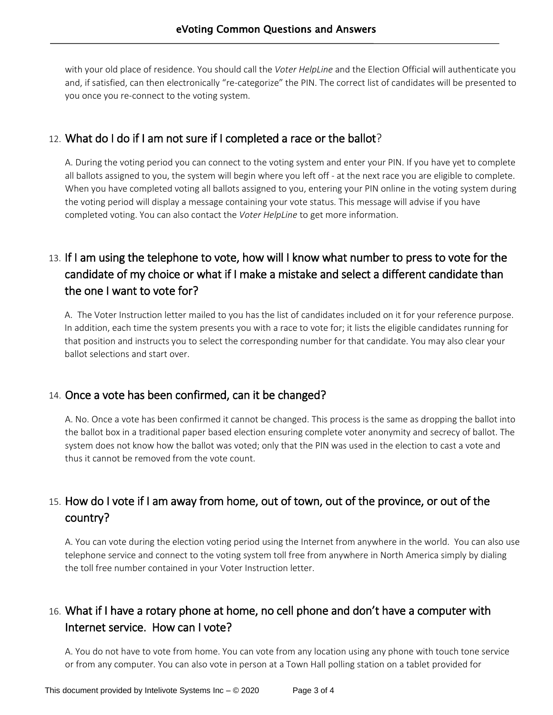with your old place of residence. You should call the *Voter HelpLine* and the Election Official will authenticate you and, if satisfied, can then electronically "re-categorize" the PIN. The correct list of candidates will be presented to you once you re-connect to the voting system.

## 12. What do I do if I am not sure if I completed a race or the ballot?

A. During the voting period you can connect to the voting system and enter your PIN. If you have yet to complete all ballots assigned to you, the system will begin where you left off - at the next race you are eligible to complete. When you have completed voting all ballots assigned to you, entering your PIN online in the voting system during the voting period will display a message containing your vote status. This message will advise if you have completed voting. You can also contact the *Voter HelpLine* to get more information.

## 13. If I am using the telephone to vote, how will I know what number to press to vote for the candidate of my choice or what if I make a mistake and select a different candidate than the one I want to vote for?

A. The Voter Instruction letter mailed to you has the list of candidates included on it for your reference purpose. In addition, each time the system presents you with a race to vote for; it lists the eligible candidates running for that position and instructs you to select the corresponding number for that candidate. You may also clear your ballot selections and start over.

## 14. Once a vote has been confirmed, can it be changed?

A. No. Once a vote has been confirmed it cannot be changed. This process is the same as dropping the ballot into the ballot box in a traditional paper based election ensuring complete voter anonymity and secrecy of ballot. The system does not know how the ballot was voted; only that the PIN was used in the election to cast a vote and thus it cannot be removed from the vote count.

## 15. How do I vote if I am away from home, out of town, out of the province, or out of the country?

A. You can vote during the election voting period using the Internet from anywhere in the world. You can also use telephone service and connect to the voting system toll free from anywhere in North America simply by dialing the toll free number contained in your Voter Instruction letter.

## 16. What if I have a rotary phone at home, no cell phone and don't have a computer with Internet service. How can I vote?

A. You do not have to vote from home. You can vote from any location using any phone with touch tone service or from any computer. You can also vote in person at a Town Hall polling station on a tablet provided for